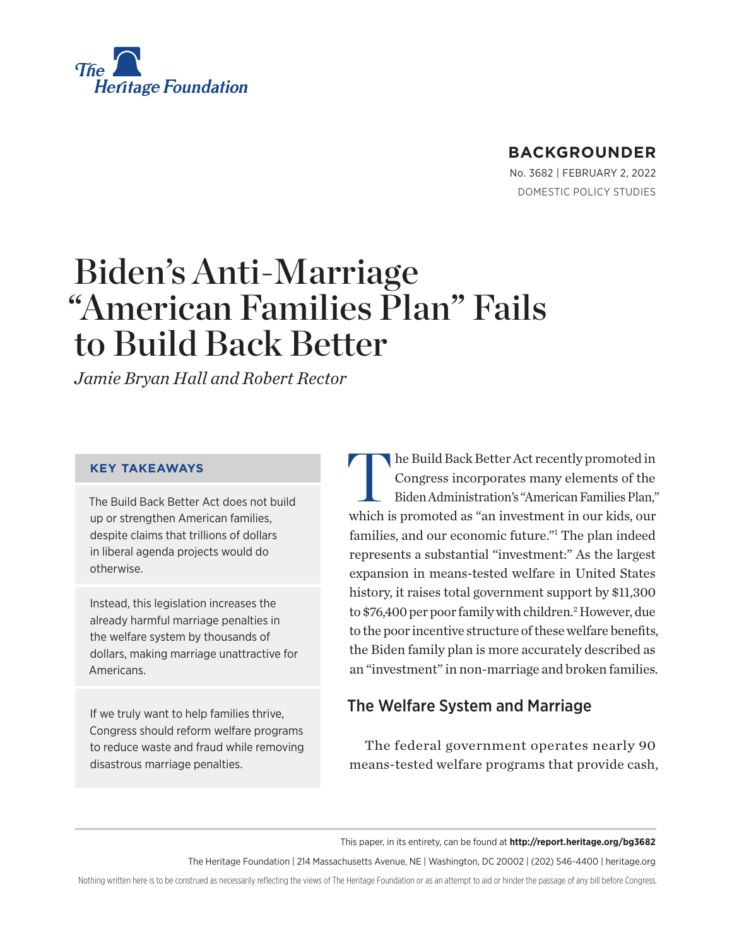<span id="page-0-0"></span>

### **BACKGROUNDER**

No. 3682 | February 2, 2022 DOMESTIC POLICY STUDIES

### Biden's Anti-Marriage "American Families Plan" Fails to Build Back Better

*Jamie Bryan Hall and Robert Rector*

### **KEY TAKEAWAYS**

The Build Back Better Act does not build up or strengthen American families, despite claims that trillions of dollars in liberal agenda projects would do otherwise.

Instead, this legislation increases the already harmful marriage penalties in the welfare system by thousands of dollars, making marriage unattractive for Americans.

If we truly want to help families thrive, Congress should reform welfare programs to reduce waste and fraud while removing disastrous marriage penalties.

The Build Back Better Act recently promoted in Congress incorporates many elements of the Biden Administration's "American Families Plan," which is promoted as "an investment in our kids, our families, and our economic future."[1](#page-20-0) The plan indeed represents a substantial "investment:" As the largest expansion in means-tested welfare in United States history, it raises total government support by \$11,300 to \$76,400 per poor family with children.<sup>[2](#page-20-0)</sup> However, due to the poor incentive structure of these welfare benefits, the Biden family plan is more accurately described as an "investment" in non-marriage and broken families.

### The Welfare System and Marriage

The federal government operates nearly 90 means-tested welfare programs that provide cash,

This paper, in its entirety, can be found at **http://report.heritage.org/bg3682**

The Heritage Foundation | 214 Massachusetts Avenue, NE | Washington, DC 20002 | (202) 546-4400 | [heritage.org](https://www.hhs.gov/about/news/2018/09/24/statement-from-the-department-of-health-and-human-services.html)

Nothing written here is to be construed as necessarily reflecting the views of The Heritage Foundation or as an attempt to aid or hinder the passage of any bill before Congress.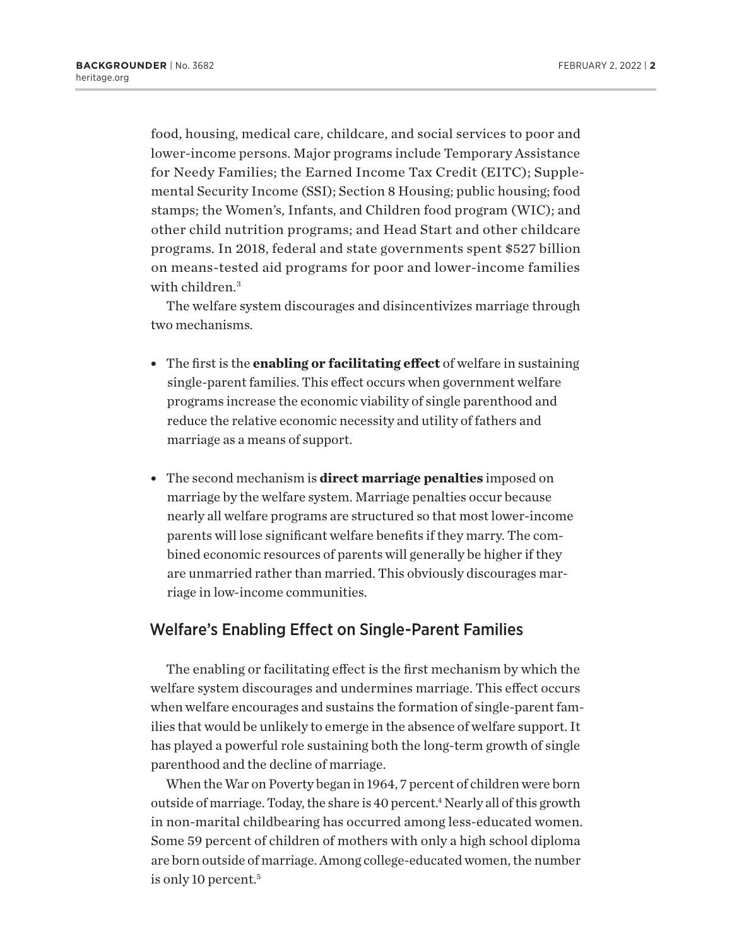<span id="page-1-0"></span>food, housing, medical care, childcare, and social services to poor and lower-income persons. Major programs include Temporary Assistance for Needy Families; the Earned Income Tax Credit (EITC); Supplemental Security Income (SSI); Section 8 Housing; public housing; food stamps; the Women's, Infants, and Children food program (WIC); and other child nutrition programs; and Head Start and other childcare programs. In 2018, federal and state governments spent \$527 billion on means-tested aid programs for poor and lower-income families with children.<sup>[3](#page-20-0)</sup>

The welfare system discourages and disincentivizes marriage through two mechanisms.

- **•** The first is the **enabling or facilitating effect** of welfare in sustaining single-parent families. This effect occurs when government welfare programs increase the economic viability of single parenthood and reduce the relative economic necessity and utility of fathers and marriage as a means of support.
- **•** The second mechanism is **direct marriage penalties** imposed on marriage by the welfare system. Marriage penalties occur because nearly all welfare programs are structured so that most lower-income parents will lose significant welfare benefits if they marry. The combined economic resources of parents will generally be higher if they are unmarried rather than married. This obviously discourages marriage in low-income communities.

### Welfare's Enabling Effect on Single-Parent Families

The enabling or facilitating effect is the first mechanism by which the welfare system discourages and undermines marriage. This effect occurs when welfare encourages and sustains the formation of single-parent families that would be unlikely to emerge in the absence of welfare support. It has played a powerful role sustaining both the long-term growth of single parenthood and the decline of marriage.

When the War on Poverty began in 1964, 7 percent of children were born outside of marriage. Today, the share is 40 percent.<sup>4</sup> Nearly all of this growth in non-marital childbearing has occurred among less-educated women. Some 59 percent of children of mothers with only a high school diploma are born outside of marriage. Among college-educated women, the number is only 10 percent.<sup>[5](#page-20-0)</sup>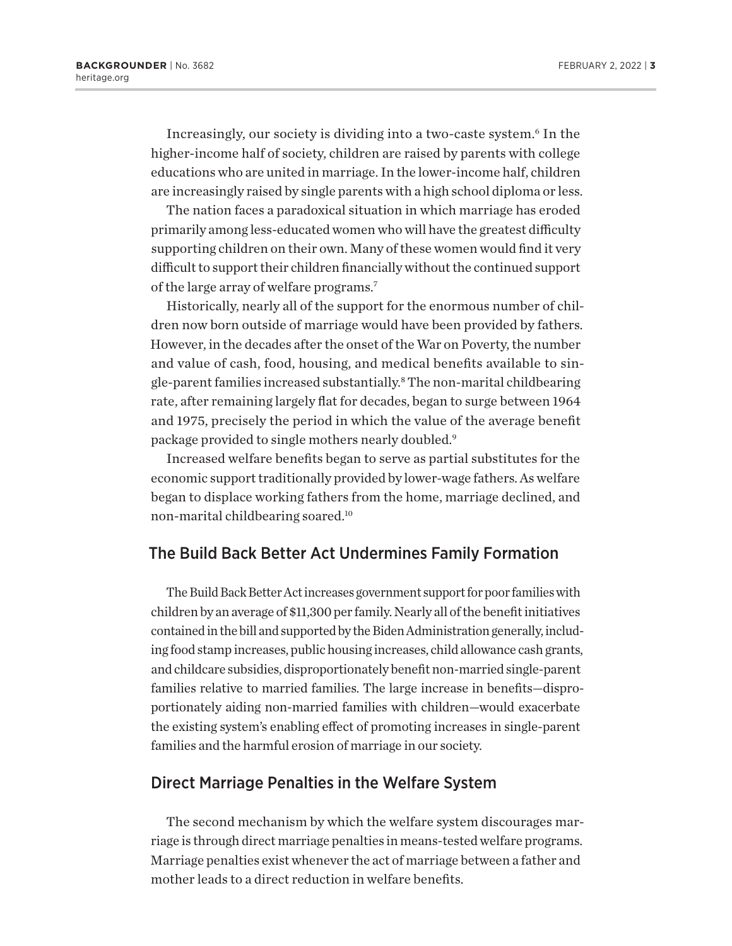<span id="page-2-0"></span>Increasingly, our society is dividing into a two-caste system.[6](#page-20-0) In the higher-income half of society, children are raised by parents with college educations who are united in marriage. In the lower-income half, children are increasingly raised by single parents with a high school diploma or less.

The nation faces a paradoxical situation in which marriage has eroded primarily among less-educated women who will have the greatest difficulty supporting children on their own. Many of these women would find it very difficult to support their children financially without the continued support of the large array of welfare programs[.7](#page-20-0)

Historically, nearly all of the support for the enormous number of children now born outside of marriage would have been provided by fathers. However, in the decades after the onset of the War on Poverty, the number and value of cash, food, housing, and medical benefits available to single-parent families increased substantially.<sup>8</sup> The non-marital childbearing rate, after remaining largely flat for decades, began to surge between 1964 and 1975, precisely the period in which the value of the average benefit package provided to single mothers nearly doubled[.9](#page-20-0)

Increased welfare benefits began to serve as partial substitutes for the economic support traditionally provided by lower-wage fathers. As welfare began to displace working fathers from the home, marriage declined, and non-marital childbearing soared.[10](#page-20-0)

### The Build Back Better Act Undermines Family Formation

The Build Back Better Act increases government support for poor families with children by an average of \$11,300 per family. Nearly all of the benefit initiatives contained in the bill and supported by the Biden Administration generally, including food stamp increases, public housing increases, child allowance cash grants, and childcare subsidies, disproportionately benefit non-married single-parent families relative to married families. The large increase in benefits—disproportionately aiding non-married families with children—would exacerbate the existing system's enabling effect of promoting increases in single-parent families and the harmful erosion of marriage in our society.

### Direct Marriage Penalties in the Welfare System

The second mechanism by which the welfare system discourages marriage is through direct marriage penalties in means-tested welfare programs. Marriage penalties exist whenever the act of marriage between a father and mother leads to a direct reduction in welfare benefits.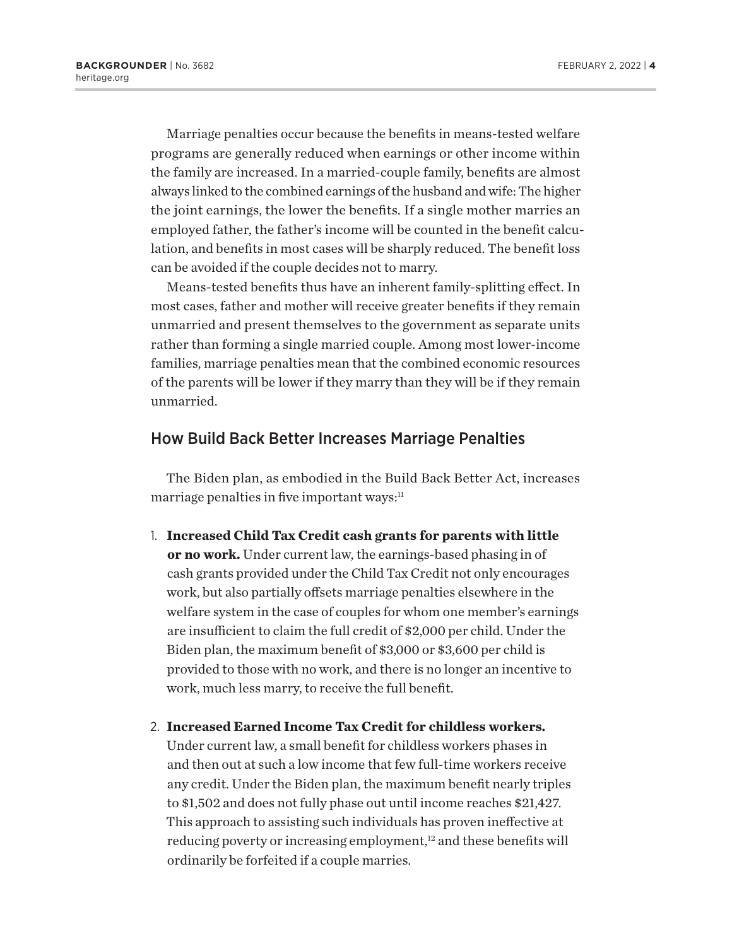<span id="page-3-0"></span>Marriage penalties occur because the benefits in means-tested welfare programs are generally reduced when earnings or other income within the family are increased. In a married-couple family, benefits are almost always linked to the combined earnings of the husband and wife: The higher the joint earnings, the lower the benefits. If a single mother marries an employed father, the father's income will be counted in the benefit calculation, and benefits in most cases will be sharply reduced. The benefit loss can be avoided if the couple decides not to marry.

Means-tested benefits thus have an inherent family-splitting effect. In most cases, father and mother will receive greater benefits if they remain unmarried and present themselves to the government as separate units rather than forming a single married couple. Among most lower-income families, marriage penalties mean that the combined economic resources of the parents will be lower if they marry than they will be if they remain unmarried.

### How Build Back Better Increases Marriage Penalties

The Biden plan, as embodied in the Build Back Better Act, increases marriage penalties in five important ways:<sup>[11](#page-20-0)</sup>

- 1. **Increased Child Tax Credit cash grants for parents with little or no work.** Under current law, the earnings-based phasing in of cash grants provided under the Child Tax Credit not only encourages work, but also partially offsets marriage penalties elsewhere in the welfare system in the case of couples for whom one member's earnings are insufficient to claim the full credit of \$2,000 per child. Under the Biden plan, the maximum benefit of \$3,000 or \$3,600 per child is provided to those with no work, and there is no longer an incentive to work, much less marry, to receive the full benefit.
- 2. **Increased Earned Income Tax Credit for childless workers.** Under current law, a small benefit for childless workers phases in and then out at such a low income that few full-time workers receive any credit. Under the Biden plan, the maximum benefit nearly triples to \$1,502 and does not fully phase out until income reaches \$21,427. This approach to assisting such individuals has proven ineffective at reducing poverty or increasing employment,<sup>[12](#page-20-0)</sup> and these benefits will ordinarily be forfeited if a couple marries.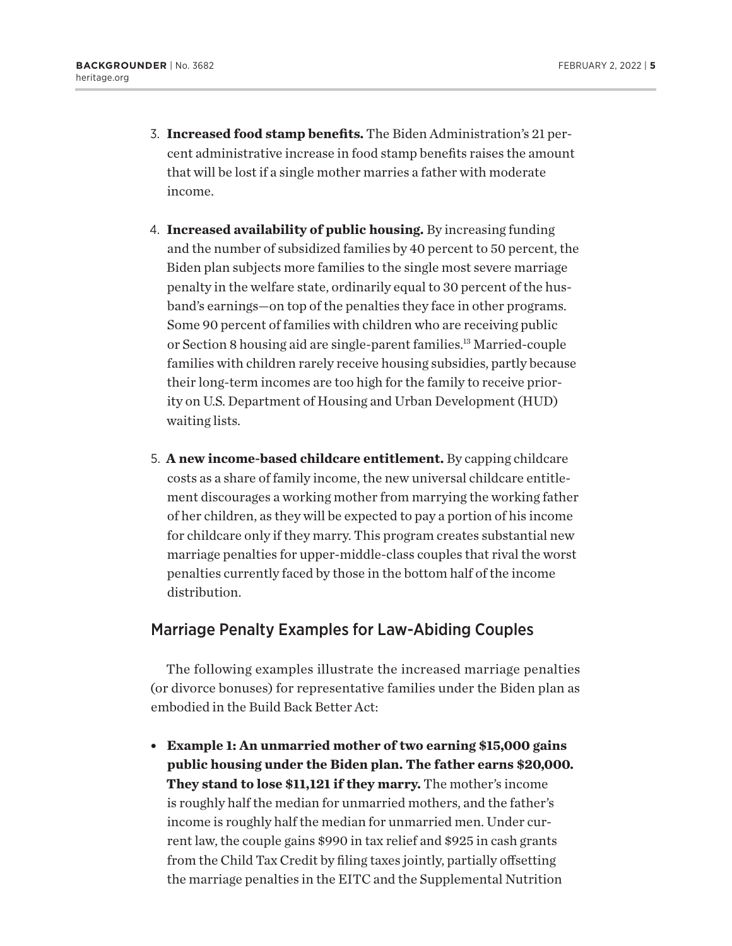- <span id="page-4-0"></span>3. **Increased food stamp benefits.** The Biden Administration's 21 percent administrative increase in food stamp benefits raises the amount that will be lost if a single mother marries a father with moderate income.
- 4. **Increased availability of public housing.** By increasing funding and the number of subsidized families by 40 percent to 50 percent, the Biden plan subjects more families to the single most severe marriage penalty in the welfare state, ordinarily equal to 30 percent of the husband's earnings—on top of the penalties they face in other programs. Some 90 percent of families with children who are receiving public or Section 8 housing aid are single-parent families.[13](#page-20-0) Married-couple families with children rarely receive housing subsidies, partly because their long-term incomes are too high for the family to receive priority on U.S. Department of Housing and Urban Development (HUD) waiting lists.
- 5. **A new income-based childcare entitlement.** By capping childcare costs as a share of family income, the new universal childcare entitlement discourages a working mother from marrying the working father of her children, as they will be expected to pay a portion of his income for childcare only if they marry. This program creates substantial new marriage penalties for upper-middle-class couples that rival the worst penalties currently faced by those in the bottom half of the income distribution.

### Marriage Penalty Examples for Law-Abiding Couples

The following examples illustrate the increased marriage penalties (or divorce bonuses) for representative families under the Biden plan as embodied in the Build Back Better Act:

<sup>l</sup> **Example 1: An unmarried mother of two earning \$15,000 gains public housing under the Biden plan. The father earns \$20,000. They stand to lose \$11,121 if they marry.** The mother's income is roughly half the median for unmarried mothers, and the father's income is roughly half the median for unmarried men. Under current law, the couple gains \$990 in tax relief and \$925 in cash grants from the Child Tax Credit by filing taxes jointly, partially offsetting the marriage penalties in the EITC and the Supplemental Nutrition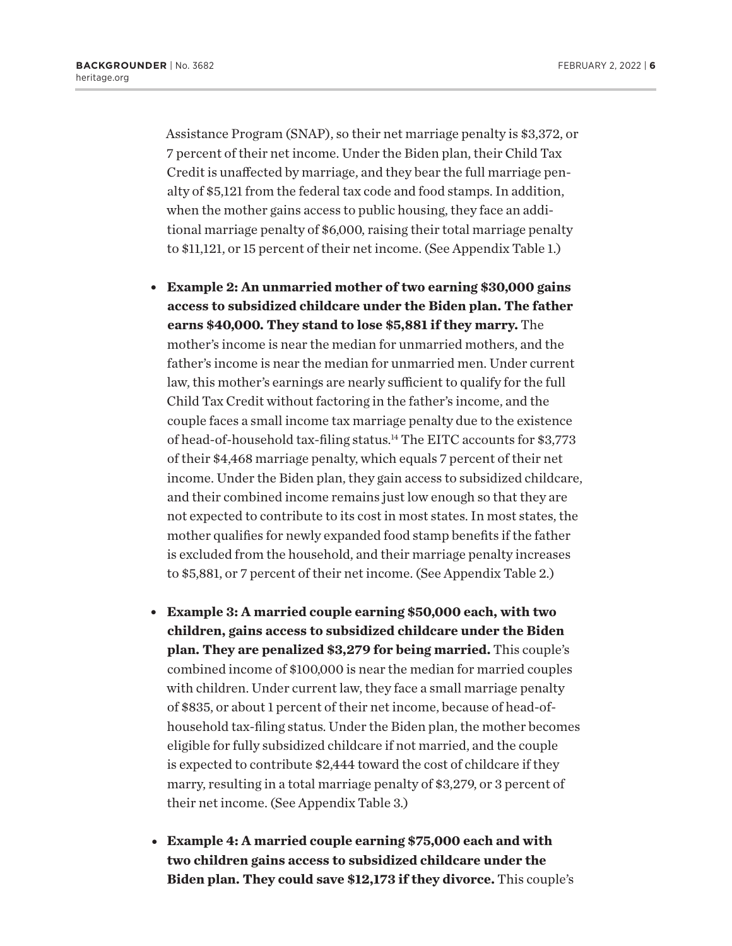<span id="page-5-0"></span>Assistance Program (SNAP), so their net marriage penalty is \$3,372, or 7 percent of their net income. Under the Biden plan, their Child Tax Credit is unaffected by marriage, and they bear the full marriage penalty of \$5,121 from the federal tax code and food stamps. In addition, when the mother gains access to public housing, they face an additional marriage penalty of \$6,000, raising their total marriage penalty to \$11,121, or 15 percent of their net income. (See Appendix Table 1.)

- <sup>l</sup> **Example 2: An unmarried mother of two earning \$30,000 gains access to subsidized childcare under the Biden plan. The father earns \$40,000. They stand to lose \$5,881 if they marry.** The mother's income is near the median for unmarried mothers, and the father's income is near the median for unmarried men. Under current law, this mother's earnings are nearly sufficient to qualify for the full Child Tax Credit without factoring in the father's income, and the couple faces a small income tax marriage penalty due to the existence of head-of-household tax-filing status.<sup>14</sup> The EITC accounts for \$3,773 of their \$4,468 marriage penalty, which equals 7 percent of their net income. Under the Biden plan, they gain access to subsidized childcare, and their combined income remains just low enough so that they are not expected to contribute to its cost in most states. In most states, the mother qualifies for newly expanded food stamp benefits if the father is excluded from the household, and their marriage penalty increases to \$5,881, or 7 percent of their net income. (See Appendix Table 2.)
- <sup>l</sup> **Example 3: A married couple earning \$50,000 each, with two children, gains access to subsidized childcare under the Biden plan. They are penalized \$3,279 for being married.** This couple's combined income of \$100,000 is near the median for married couples with children. Under current law, they face a small marriage penalty of \$835, or about 1 percent of their net income, because of head-ofhousehold tax-filing status. Under the Biden plan, the mother becomes eligible for fully subsidized childcare if not married, and the couple is expected to contribute \$2,444 toward the cost of childcare if they marry, resulting in a total marriage penalty of \$3,279, or 3 percent of their net income. (See Appendix Table 3.)
- <sup>l</sup> **Example 4: A married couple earning \$75,000 each and with two children gains access to subsidized childcare under the Biden plan. They could save \$12,173 if they divorce.** This couple's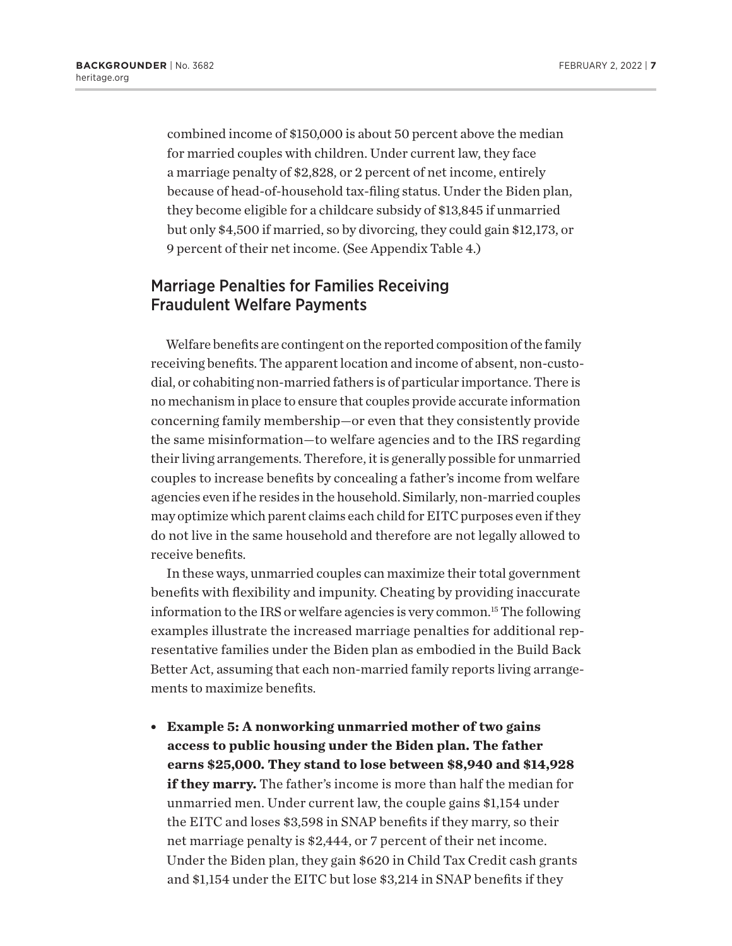<span id="page-6-0"></span>combined income of \$150,000 is about 50 percent above the median for married couples with children. Under current law, they face a marriage penalty of \$2,828, or 2 percent of net income, entirely because of head-of-household tax-filing status. Under the Biden plan, they become eligible for a childcare subsidy of \$13,845 if unmarried but only \$4,500 if married, so by divorcing, they could gain \$12,173, or 9 percent of their net income. (See Appendix Table 4.)

### Marriage Penalties for Families Receiving Fraudulent Welfare Payments

Welfare benefits are contingent on the reported composition of the family receiving benefits. The apparent location and income of absent, non-custodial, or cohabiting non-married fathers is of particular importance. There is no mechanism in place to ensure that couples provide accurate information concerning family membership—or even that they consistently provide the same misinformation—to welfare agencies and to the IRS regarding their living arrangements. Therefore, it is generally possible for unmarried couples to increase benefits by concealing a father's income from welfare agencies even if he resides in the household. Similarly, non-married couples may optimize which parent claims each child for EITC purposes even if they do not live in the same household and therefore are not legally allowed to receive benefits.

In these ways, unmarried couples can maximize their total government benefits with flexibility and impunity. Cheating by providing inaccurate information to the IRS or welfare agencies is very common.[15](#page-20-0) The following examples illustrate the increased marriage penalties for additional representative families under the Biden plan as embodied in the Build Back Better Act, assuming that each non-married family reports living arrangements to maximize benefits.

<sup>l</sup> **Example 5: A nonworking unmarried mother of two gains access to public housing under the Biden plan. The father earns \$25,000. They stand to lose between \$8,940 and \$14,928 if they marry.** The father's income is more than half the median for unmarried men. Under current law, the couple gains \$1,154 under the EITC and loses \$3,598 in SNAP benefits if they marry, so their net marriage penalty is \$2,444, or 7 percent of their net income. Under the Biden plan, they gain \$620 in Child Tax Credit cash grants and \$1,154 under the EITC but lose \$3,214 in SNAP benefits if they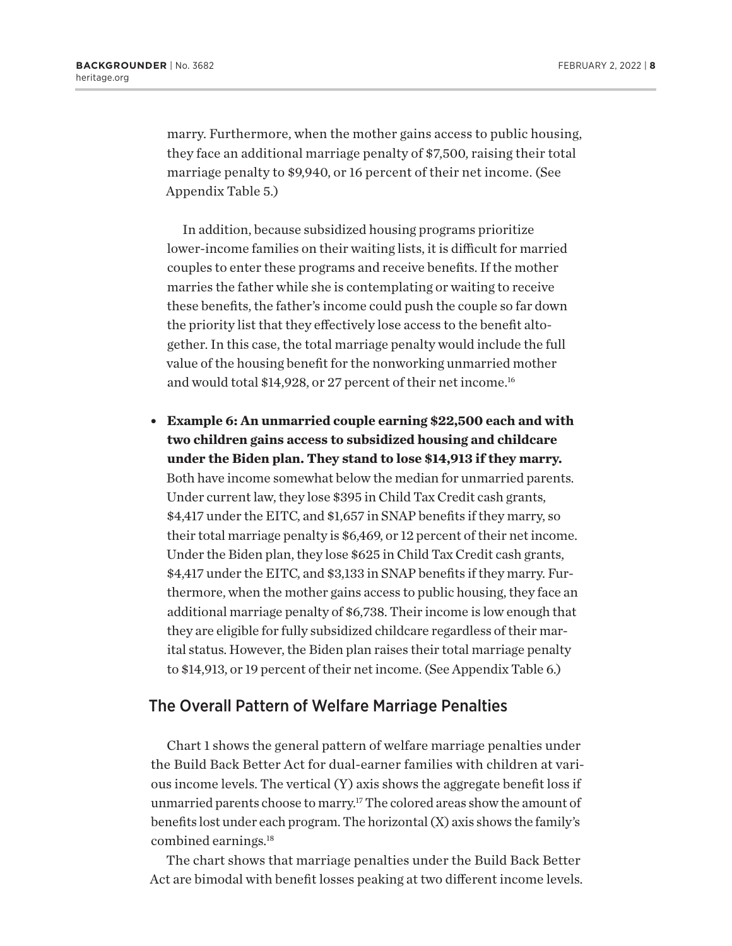<span id="page-7-0"></span>marry. Furthermore, when the mother gains access to public housing, they face an additional marriage penalty of \$7,500, raising their total marriage penalty to \$9,940, or 16 percent of their net income. (See Appendix Table 5.)

In addition, because subsidized housing programs prioritize lower-income families on their waiting lists, it is difficult for married couples to enter these programs and receive benefits. If the mother marries the father while she is contemplating or waiting to receive these benefits, the father's income could push the couple so far down the priority list that they effectively lose access to the benefit altogether. In this case, the total marriage penalty would include the full value of the housing benefit for the nonworking unmarried mother and would total \$14,928, or 27 percent of their net income.<sup>[16](#page-21-0)</sup>

**Example 6: An unmarried couple earning \$22,500 each and with two children gains access to subsidized housing and childcare under the Biden plan. They stand to lose \$14,913 if they marry.** Both have income somewhat below the median for unmarried parents. Under current law, they lose \$395 in Child Tax Credit cash grants, \$4,417 under the EITC, and \$1,657 in SNAP benefits if they marry, so their total marriage penalty is \$6,469, or 12 percent of their net income. Under the Biden plan, they lose \$625 in Child Tax Credit cash grants, \$4,417 under the EITC, and \$3,133 in SNAP benefits if they marry. Furthermore, when the mother gains access to public housing, they face an additional marriage penalty of \$6,738. Their income is low enough that they are eligible for fully subsidized childcare regardless of their marital status. However, the Biden plan raises their total marriage penalty to \$14,913, or 19 percent of their net income. (See Appendix Table 6.)

### The Overall Pattern of Welfare Marriage Penalties

Chart 1 shows the general pattern of welfare marriage penalties under the Build Back Better Act for dual-earner families with children at various income levels. The vertical (Y) axis shows the aggregate benefit loss if unmarried parents choose to marry.<sup>17</sup> The colored areas show the amount of benefits lost under each program. The horizontal (X) axis shows the family's combined earnings[.18](#page-21-0)

The chart shows that marriage penalties under the Build Back Better Act are bimodal with benefit losses peaking at two different income levels.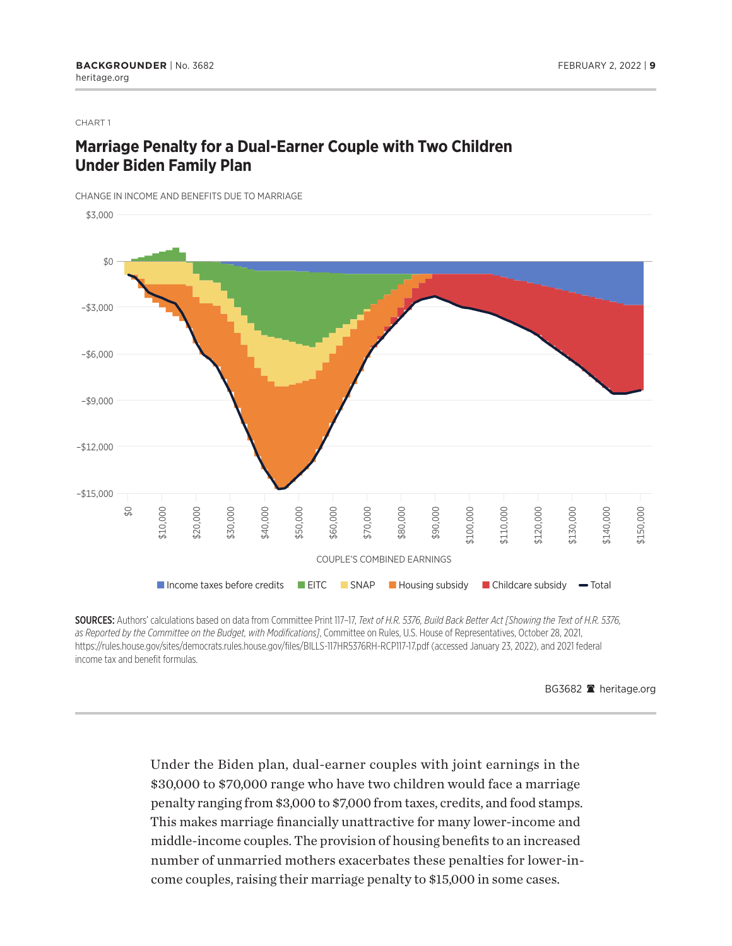### CHART 1

### **Marriage Penalty for a Dual-Earner Couple with Two Children Under Biden Family Plan**

CHANGE IN INCOME AND BENEFITS DUE TO MARRIAGE



SOURCES: Authors' calculations based on data from Committee Print 117–17, *Text of H.R. 5376, Build Back Better Act [Showing the Text of H.R. 5376, as Reported by the Committee on the Budget, with Modifications]*, Committee on Rules, U.S. House of Representatives, October 28, 2021, https://rules.house.gov/sites/democrats.rules.house.gov/files/BILLS-117HR5376RH-RCP117-17.pdf (accessed January 23, 2022), and 2021 federal income tax and benefit formulas.

BG3682 <sup>a</sup> heritage.org

Under the Biden plan, dual-earner couples with joint earnings in the \$30,000 to \$70,000 range who have two children would face a marriage penalty ranging from \$3,000 to \$7,000 from taxes, credits, and food stamps. This makes marriage financially unattractive for many lower-income and middle-income couples. The provision of housing benefits to an increased number of unmarried mothers exacerbates these penalties for lower-income couples, raising their marriage penalty to \$15,000 in some cases.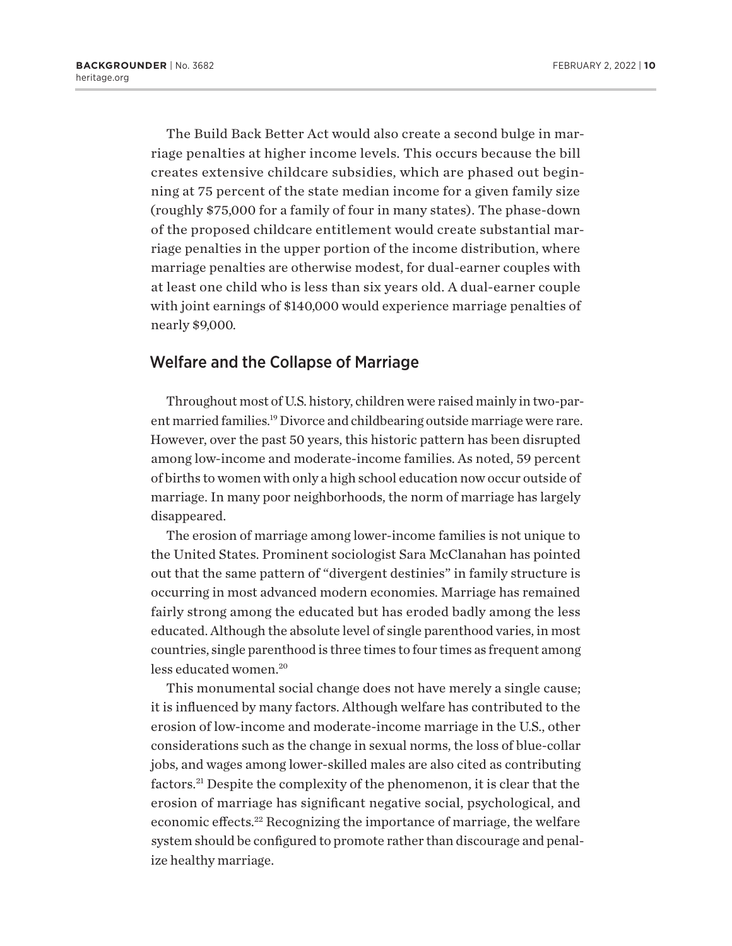<span id="page-9-0"></span>The Build Back Better Act would also create a second bulge in marriage penalties at higher income levels. This occurs because the bill creates extensive childcare subsidies, which are phased out beginning at 75 percent of the state median income for a given family size (roughly \$75,000 for a family of four in many states). The phase-down of the proposed childcare entitlement would create substantial marriage penalties in the upper portion of the income distribution, where marriage penalties are otherwise modest, for dual-earner couples with at least one child who is less than six years old. A dual-earner couple with joint earnings of \$140,000 would experience marriage penalties of nearly \$9,000.

### Welfare and the Collapse of Marriage

Throughout most of U.S. history, children were raised mainly in two-parent married families[.19](#page-21-0) Divorce and childbearing outside marriage were rare. However, over the past 50 years, this historic pattern has been disrupted among low-income and moderate-income families. As noted, 59 percent of births to women with only a high school education now occur outside of marriage. In many poor neighborhoods, the norm of marriage has largely disappeared.

The erosion of marriage among lower-income families is not unique to the United States. Prominent sociologist Sara McClanahan has pointed out that the same pattern of "divergent destinies" in family structure is occurring in most advanced modern economies. Marriage has remained fairly strong among the educated but has eroded badly among the less educated. Although the absolute level of single parenthood varies, in most countries, single parenthood is three times to four times as frequent among less educated women[.20](#page-21-0)

This monumental social change does not have merely a single cause; it is influenced by many factors. Although welfare has contributed to the erosion of low-income and moderate-income marriage in the U.S., other considerations such as the change in sexual norms, the loss of blue-collar jobs, and wages among lower-skilled males are also cited as contributing factors.[21](#page-21-0) Despite the complexity of the phenomenon, it is clear that the erosion of marriage has significant negative social, psychological, and economic effects.[22](#page-21-0) Recognizing the importance of marriage, the welfare system should be configured to promote rather than discourage and penalize healthy marriage.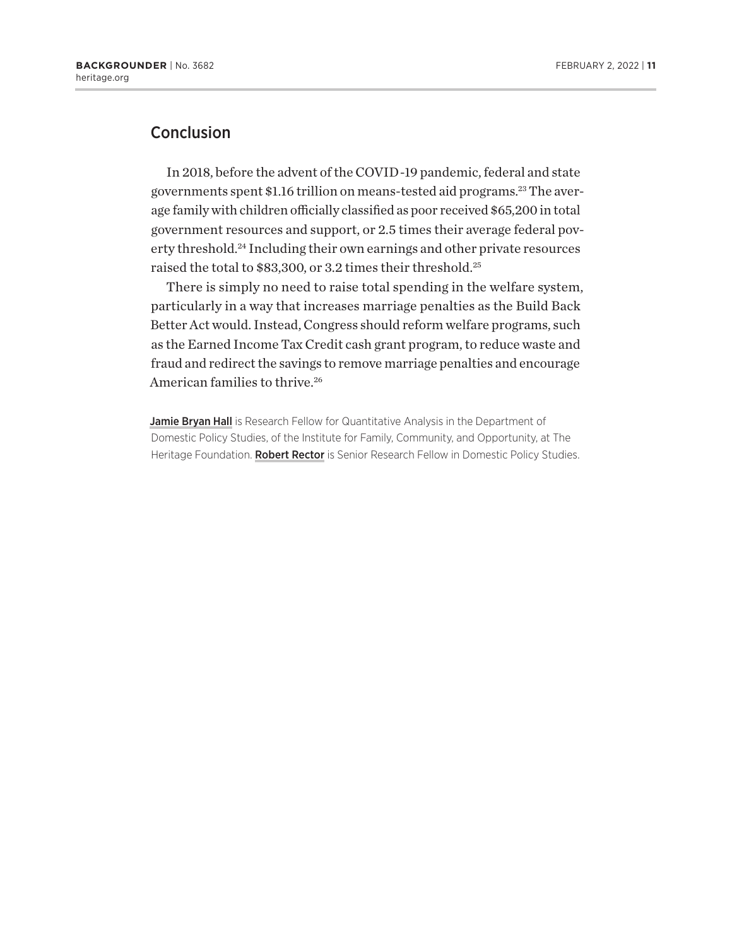### <span id="page-10-0"></span>**Conclusion**

In 2018, before the advent of the COVID-19 pandemic, federal and state governments spent \$1.16 trillion on means-tested aid programs[.23](#page-21-0) The average family with children officially classified as poor received \$65,200 in total government resources and support, or 2.5 times their average federal pov-erty threshold.<sup>[24](#page-21-0)</sup> Including their own earnings and other private resources raised the total to \$83,300, or 3.2 times their threshold.[25](#page-21-0)

There is simply no need to raise total spending in the welfare system, particularly in a way that increases marriage penalties as the Build Back Better Act would. Instead, Congress should reform welfare programs, such as the Earned Income Tax Credit cash grant program, to reduce waste and fraud and redirect the savings to remove marriage penalties and encourage American families to thrive.<sup>[26](#page-21-0)</sup>

Jamie Bryan Hall is Research Fellow for Quantitative Analysis in the Department of Domestic Policy Studies, of the Institute for Family, Community, and Opportunity, at The Heritage Foundation. Robert Rector is Senior Research Fellow in Domestic Policy Studies.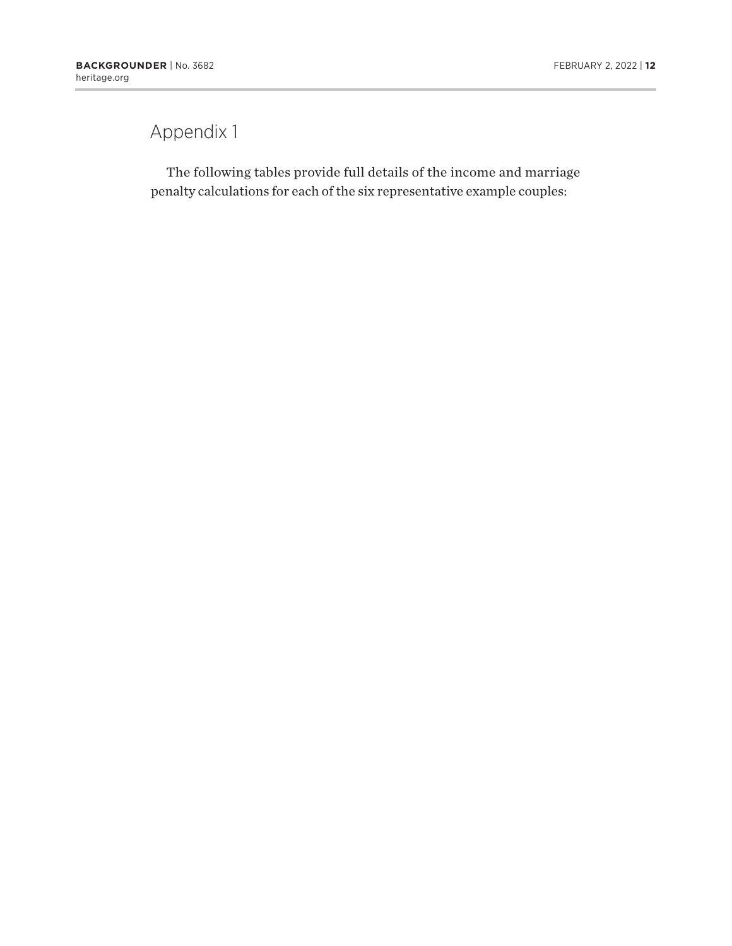### Appendix 1

The following tables provide full details of the income and marriage penalty calculations for each of the six representative example couples: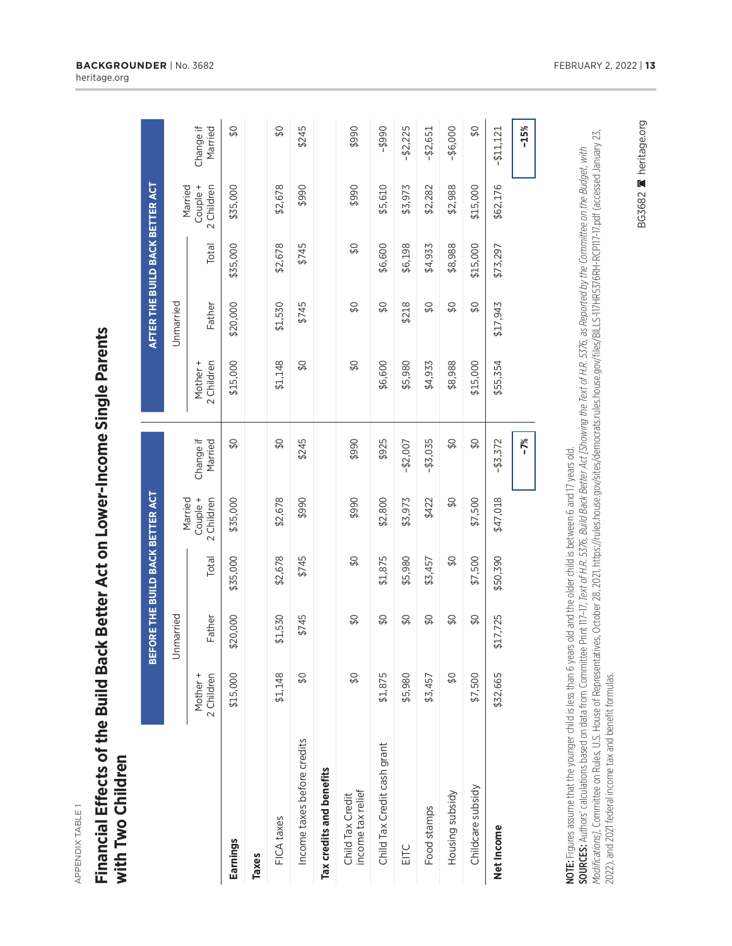| L<br>ľ |
|--------|
|        |
|        |
|        |
|        |
|        |
|        |
|        |
|        |
|        |
|        |
|        |
|        |

### Financial Effects of the Build Back Better Act on Lower-Income Single Parents **Financial Effects of the Build Back Better Act on Lower-Income Single Parents** with Two Children **with Two Children**

|                                       |                        | BEFORE THE BUILD BACK BETTER ACT |               |                                           |                          |                        | AFTER THE BUILD BACK BETTER ACT |          |                                   |                          |
|---------------------------------------|------------------------|----------------------------------|---------------|-------------------------------------------|--------------------------|------------------------|---------------------------------|----------|-----------------------------------|--------------------------|
|                                       |                        | Unmarried                        |               |                                           |                          |                        | Unmarried                       |          |                                   |                          |
|                                       | 2 Children<br>Mother + | Father                           | Total         | Couple +<br>Married<br>Children<br>$\sim$ | Change if<br>Married     | Mother +<br>2 Children | Father                          | Total    | Couple +<br>2 Children<br>Married | Change if<br>Married     |
| Earnings                              | \$15,000               | \$20,000                         | \$35,000      | \$35,000                                  | \$0                      | \$15,000               | \$20,000                        | \$35,000 | \$35,000                          | $\overline{\mathcal{L}}$ |
| Taxes                                 |                        |                                  |               |                                           |                          |                        |                                 |          |                                   |                          |
| FICA taxes                            | \$1,148                | \$1,530                          | \$2,678       | \$2,678                                   | \$0                      | \$1,148                | \$1,530                         | \$2,678  | \$2,678                           | \$0                      |
| Income taxes before credits           | $\Im$                  | \$745                            | \$745         | \$990                                     | \$245                    | $\frac{1}{2}$          | \$745                           | \$745    | \$990                             | \$245                    |
| Tax credits and benefits              |                        |                                  |               |                                           |                          |                        |                                 |          |                                   |                          |
| income tax relief<br>Child Tax Credit | \$Q                    | \$0                              | \$0           | \$990                                     | \$990                    | \$0                    | \$0                             | \$0      | \$990                             | \$990                    |
| Child Tax Credit cash grant           | \$1,875                | $\frac{1}{2}$                    | \$1,875       | \$2,800                                   | \$925                    | \$6,600                | \$0                             | \$6,600  | \$5,610                           | $0665 -$                 |
| EITC                                  | \$5,980                | \$0                              | \$5,980       | \$3,973                                   | $-$ \$2,007              | \$5,980                | \$218                           | \$6,198  | \$3,973                           | $-52,225$                |
| Food stamps                           | \$3,457                | $\frac{1}{2}$                    | \$3,457       | \$422                                     | $-43,035$                | \$4,933                | $\frac{1}{2}$                   | \$4,933  | \$2,282                           | $-$ \$2,651              |
| Housing subsidy                       | \$0                    | $\frac{1}{2}$                    | $\frac{1}{2}$ | $\frac{1}{2}$                             | $\overline{\mathcal{L}}$ | \$8,988                | $\Im$                           | \$8,988  | \$2,988                           | $-$ \$6,000              |
| Childcare subsidy                     | \$7,500                | \$0                              | \$7,500       | \$7,500                                   | $\overline{\mathcal{L}}$ | \$15,000               | \$0                             | \$15,000 | \$15,000                          | \$0                      |
| Net Income                            | \$32,665               | \$17,725                         | \$50,390      | \$47,018                                  | $-$ \$3,372              | \$55,354               | \$17,943                        | \$73,297 | \$62,176                          | $-$ \$11,121             |
|                                       |                        |                                  |               |                                           | $-7%$                    |                        |                                 |          |                                   | $-15%$                   |

NOTE: Figures assume that the younger child is less than 6 years old and the older child is between 6 and 17 years old. NOTE: Figures assume that the younger child is less than 6 years old and the older child is between 6 and 17 years old.

*Modifi cations]*, Committee on Rules, U.S. House of Representatives, October 28, 2021, https://rules.house.gov/sites/democrats.rules.house.gov/fi les/BILLS-117HR5376RH-RCP117-17.pdf (accessed January 23, **SOURCES:** Authors' calculations based on data from Committee Print 117–17, *Text of H.R. 5376, Build Back Better Act [Showing the Text of H.R. 5376, as Reported by the Committee on the Budget, with<br><i>Modifications]*, Commi SOURCES: Authors' calculations based on data from Committee Print 117–17, *Text of H.R. 5376, Build Back Better Act [Showing the Text of H.R. 5376, as Reported by the Committee on the Budget, with*  2022), and 2021 federal income tax and benefit formulas.

BG3682 **A** heritage.org

BG3682 Meritage.org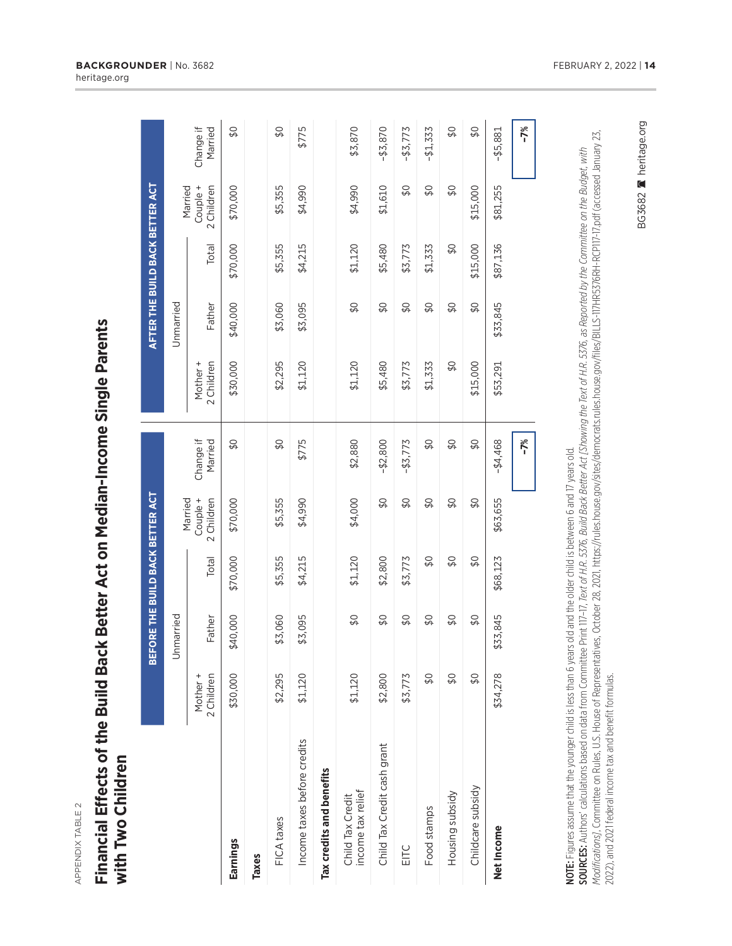| ٦<br>í. |
|---------|
|         |
|         |
|         |
|         |
|         |
|         |
|         |
|         |
|         |
|         |
|         |
|         |

### Financial Effects of the Build Back Better Act on Median-Income Single Parents **Financial Effects of the Build Back Better Act on Median-Income Single Parents** with Two Children **with Two Children**

|                                       |                           | BEFORE THE BUILD BACK BETTER ACT |          |                          |                           |                        | AFTER THE BUILD BACK BETTER ACT |          |                                   |                      |
|---------------------------------------|---------------------------|----------------------------------|----------|--------------------------|---------------------------|------------------------|---------------------------------|----------|-----------------------------------|----------------------|
|                                       |                           | Unmarried                        |          | Married                  |                           |                        | Unmarried                       |          |                                   |                      |
|                                       | 2 Children<br>Mother +    | Father                           | Total    | 2 Children<br>Couple +   | Change if<br>Married      | 2 Children<br>Mother + | Father                          | Total    | Couple +<br>2 Children<br>Married | Change if<br>Married |
| Earnings                              | \$30,000                  | \$40,000                         | \$70,000 | \$70,000                 | \$0                       | \$30,000               | \$40,000                        | \$70,000 | \$70,000                          | \$0                  |
| Taxes                                 |                           |                                  |          |                          |                           |                        |                                 |          |                                   |                      |
| FICA taxes                            | \$2,295                   | \$3,060                          | \$5,355  | \$5,355                  | \$0                       | \$2,295                | \$3,060                         | \$5,355  | \$5,355                           | \$0                  |
| Income taxes before credits           | \$1,120                   | \$3,095                          | \$4,215  | \$4,990                  | \$775                     | \$1,120                | \$3,095                         | \$4,215  | \$4,990                           | \$775                |
| Tax credits and benefits              |                           |                                  |          |                          |                           |                        |                                 |          |                                   |                      |
| income tax relief<br>Child Tax Credit | \$1,120                   | \$0                              | \$1,120  | \$4,000                  | \$2,880                   | \$1,120                | \$0                             | \$1,120  | \$4,990                           | \$3,870              |
| Child Tax Credit cash grant           | \$2,800                   | \$0                              | \$2,800  | \$0                      | $-52,800$                 | \$5,480                | \$0                             | \$5,480  | \$1,610                           | $-43,870$            |
| EITC                                  | \$5,773                   | \$0                              | \$5,773  | $\overline{\mathcal{L}}$ | $-43,773$                 | \$5,773                | $\overline{\mathcal{L}}$        | \$5,773  | \$0                               | $-43,773$            |
| Food stamps                           | \$Q                       | \$Q                              | \$0      | \$0                      | \$Q                       | \$1,333                | \$0                             | \$1,333  | \$Q                               | $-41,333$            |
| Housing subsidy                       | $\overline{\mathcal{L}}$  | $\frac{1}{2}$                    | \$0      | $\overline{\mathcal{L}}$ | $\overline{\mathcal{L}}$  | $\frac{1}{2}$          | $\Im$                           | $\Im$    | $\overline{\mathcal{L}}$          | \$0                  |
| Childcare subsidy                     | $\overline{\mathfrak{g}}$ | $\Im$                            | \$0      | \$0                      | $\overline{\mathfrak{g}}$ | \$15,000               | \$Q                             | \$15,000 | \$15,000                          | \$0                  |
| Net Income                            | \$34,278                  | \$33,845                         | \$68,123 | \$63,655                 | $-44,468$                 | \$53,291               | \$33,845                        | \$87,136 | \$81,255                          | $-$ \$5,881          |
|                                       |                           |                                  |          |                          | $-7%$                     |                        |                                 |          |                                   | $-7%$                |

NOTE: Figures assume that the younger child is less than 6 years old and the older child is between 6 and 17 years old. NOTE: Figures assume that the younger child is less than 6 years old and the older child is between 6 and 17 years old.

SOURCES: Authors' calculations based on data from Committee Print 117-17, *Text of H.R. 5376, Build Back Better Act [Showing the Text of H.R. 5376, as Reported by the Committee on the Budget, with<br><i>Modifications],* Committ *Modifi cations]*, Committee on Rules, U.S. House of Representatives, October 28, 2021, https://rules.house.gov/sites/democrats.rules.house.gov/fi les/BILLS-117HR5376RH-RCP117-17.pdf (accessed January 23, SOURCES: Authors' calculations based on data from Committee Print 117–17, *Text of H.R. 5376, Build Back Better Act [Showing the Text of H.R. 5376, as Reported by the Committee on the Budget, with*  2022), and 2021 federal income tax and benefit formulas. 2022), and 2021 federal income tax and benefit formulas. BG3682 **A** heritage.org

BG3682 Reritage.org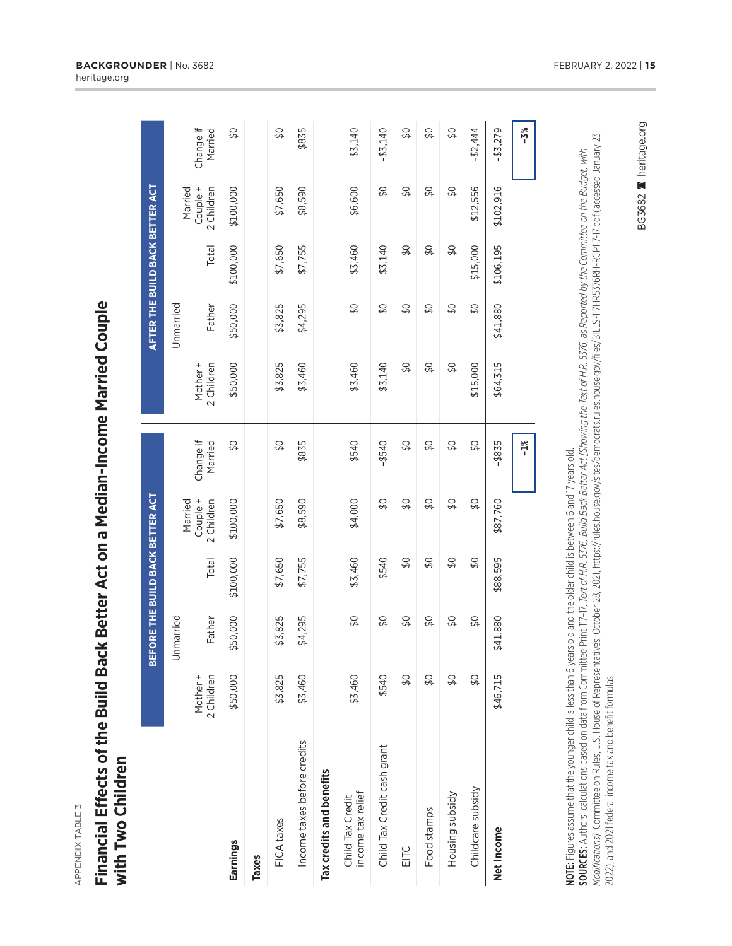APPENDIX TABLE 3 APPENDIX TABLE 3

## **Financial Effects of the Build Back Better Act on a Median-Income Married Couple** Financial Effects of the Build Back Better Act on a Median-Income Married Couple with Two Children **with Two Children**

|                                       |                        | BEFORE THE BUILD BACK BETTER ACT |           |                                   |                          |                           |               | AFTER THE BUILD BACK BETTER ACT |                                   |                      |
|---------------------------------------|------------------------|----------------------------------|-----------|-----------------------------------|--------------------------|---------------------------|---------------|---------------------------------|-----------------------------------|----------------------|
|                                       |                        | Jnmarried                        |           |                                   |                          |                           | Unmarried     |                                 |                                   |                      |
|                                       | 2 Children<br>Mother + | Father                           | Total     | Couple +<br>Married<br>2 Children | Change if<br>Married     | 2 Children<br>Mother +    | Father        | Total                           | Couple +<br>Married<br>2 Children | Change if<br>Married |
| Earnings                              | \$50,000               | \$50,000                         | \$100,000 | \$100,000                         | \$0                      | \$50,000                  | \$50,000      | \$100,000                       | \$100,000                         | \$0                  |
| Taxes                                 |                        |                                  |           |                                   |                          |                           |               |                                 |                                   |                      |
| FICA taxes                            | \$3,825                | \$3,825                          | \$7,650   | \$7,650                           | \$0                      | \$3,825                   | \$3,825       | \$7,650                         | \$7,650                           | $\frac{1}{2}$        |
| Income taxes before credits           | \$3,460                | \$4,295                          | \$7,755   | \$8,590                           | \$835                    | \$3,460                   | \$4,295       | \$7,755                         | \$8,590                           | \$835                |
| Tax credits and benefits              |                        |                                  |           |                                   |                          |                           |               |                                 |                                   |                      |
| income tax relief<br>Child Tax Credit | \$3,460                | \$0                              | \$3,460   | \$4,000                           | \$540                    | \$3,460                   | \$0           | \$3,460                         | \$6,600                           | \$3,140              |
| Child Tax Credit cash grant           | \$540                  | $\frac{1}{2}$                    | \$540     | $\frac{1}{2}$                     | $-$ \$540                | \$3,140                   | $\frac{1}{2}$ | \$3,140                         | $\frac{1}{2}$                     | $-43,140$            |
| EITC                                  | $\frac{1}{2}$          | \$0                              | \$0       | \$0                               | $\overline{\mathcal{L}}$ | \$0                       | \$0           | $\frac{1}{2}$                   | \$0                               | \$0                  |
| Food stamps                           | \$0                    | $\Im$                            | \$0       | \$0                               | \$0                      | \$0                       | \$0           | \$0                             | \$0                               | \$0                  |
| Housing subsidy                       | \$0                    | $\frac{1}{2}$                    | \$0       | $\boldsymbol{\mathsf{S}}$         | $\frac{1}{2}$            | $\boldsymbol{\mathsf{S}}$ | \$0           | \$0                             | $\boldsymbol{\mathsf{S}}$         | \$0                  |
| Childcare subsidy                     | $\frac{1}{2}$          | \$0                              | \$0       | \$0                               | \$0                      | \$15,000                  | \$0           | \$15,000                        | \$12,556                          | $-52,444$            |
| Net Income                            | \$46,715               | \$41,880                         | \$88,595  | \$87,760                          | $-$ \$835                | \$64,315                  | \$41,880      | \$106,195                       | \$102,916                         | $-43,279$            |
|                                       |                        |                                  |           |                                   | $-1\%$                   |                           |               |                                 |                                   | $-3%$                |

NOTE: Figures assume that the younger child is less than 6 years old and the older child is between 6 and 17 years old. NOTE: Figures assume that the younger child is less than 6 years old and the older child is between 6 and 17 years old.

**SOURCES:** Authors' calculations based on data from Committee Print 117-17, *Text of H.R. 5376, Build Back Better Act [Showing the Text of H.R. 5376, as Reported by the Committee on the Budget, with<br>Modifications], Committ Modifi cations]*, Committee on Rules, U.S. House of Representatives, October 28, 2021, https://rules.house.gov/sites/democrats.rules.house.gov/fi les/BILLS-117HR5376RH-RCP117-17.pdf (accessed January 23, SOURCES: Authors' calculations based on data from Committee Print 117–17, *Text of H.R. 5376, Build Back Better Act [Showing the Text of H.R. 5376, as Reported by the Committee on the Budget, with*  2022), and 2021 federal income tax and benefit formulas. 2022), and 2021 federal income tax and benefi t formulas. BG3682 A heritage.org

BG3682 Reritage.org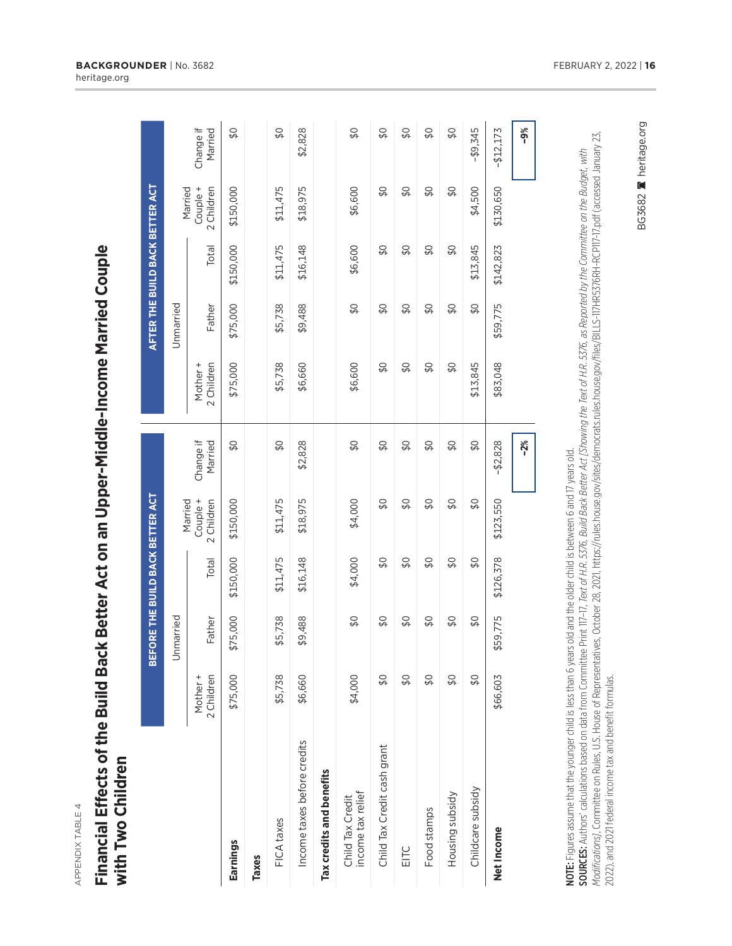APPENDIX TABLE 4 APPENDIX TABLE 4

## **Financial Effects of the Build Back Better Act on an Upper-Middle-Income Married Couple** Financial Effects of the Build Back Better Act on an Upper-Middle-Income Married Couple with Two Children **with Two Children**

|                                       |                        | BEFORE THE BUILD BACK BETTER ACT |               |                                   |                          |                        |               | AFTER THE BUILD BACK BETTER ACT |                                   |                            |
|---------------------------------------|------------------------|----------------------------------|---------------|-----------------------------------|--------------------------|------------------------|---------------|---------------------------------|-----------------------------------|----------------------------|
|                                       |                        | Jnmarried                        |               |                                   |                          |                        | Unmarried     |                                 |                                   |                            |
|                                       | 2 Children<br>Mother + | Father                           | Total         | Couple +<br>2 Children<br>Married | Change if<br>Married     | 2 Children<br>Mother + | Father        | Total                           | Couple +<br>2 Children<br>Married | Change if<br>Married       |
| Earnings                              | \$75,000               | \$75,000                         | \$150,000     | \$150,000                         | \$0                      | \$75,000               | \$75,000      | \$150,000                       | \$150,000                         | \$0                        |
| Taxes                                 |                        |                                  |               |                                   |                          |                        |               |                                 |                                   |                            |
| FICA taxes                            | \$5,738                | \$5,738                          | \$11,475      | \$11,475                          | $\overline{\mathcal{L}}$ | \$5,738                | \$5,738       | \$11,475                        | \$11,475                          | $\frac{1}{2}$              |
| Income taxes before credits           | \$6,660                | \$9,488                          | \$16,148      | \$18,975                          | \$2,828                  | \$6,660                | \$9,488       | \$16,148                        | \$18,975                          | \$2,828                    |
| Tax credits and benefits              |                        |                                  |               |                                   |                          |                        |               |                                 |                                   |                            |
| income tax relief<br>Child Tax Credit | \$4,000                | \$0                              | \$4,000       | \$4,000                           | \$0                      | \$6,600                | \$0           | \$6,600                         | \$6,600                           | \$0                        |
| Child Tax Credit cash grant           | $\frac{1}{2}$          | $\frac{1}{2}$                    | $\frac{1}{2}$ | $\Im$                             | $\Im$                    | $\frac{1}{2}$          | $\frac{1}{2}$ | $\frac{1}{2}$                   | $\Im$                             | \$0                        |
| EITC                                  | \$0                    | \$0                              | \$0           | \$0                               | \$0                      | \$0                    | \$0           | \$0                             | \$0                               | \$0                        |
| Food stamps                           | $\overline{\varphi}$   | \$0                              | \$0           | \$0                               | \$0                      | \$Q                    | \$Q           | \$0                             | \$0                               | $\boldsymbol{\mathsf{S}}$  |
| Housing subsidy                       | $\Im$                  | $\frac{1}{2}$                    | $\frac{1}{2}$ | $\Im$                             | $\overline{\mathcal{L}}$ | $\frac{1}{2}$          | $\frac{1}{2}$ | $\boldsymbol{\mathcal{L}}$      | $\frac{1}{2}$                     | $\boldsymbol{\mathcal{L}}$ |
| Childcare subsidy                     | $\Im \Phi$             | $\frac{1}{2}$                    | $\frac{1}{2}$ | $\Im$                             | $\Im$                    | \$13,845               | \$Q           | \$13,845                        | \$4,500                           | $-49,345$                  |
| Net Income                            | \$66,603               | \$59,775                         | \$126,378     | \$123,550                         | $-52,828$                | \$83,048               | \$59,775      | \$142,823                       | \$130,650                         | $-$12,173$                 |
|                                       |                        |                                  |               |                                   | $-2%$                    |                        |               |                                 |                                   | $-9%$                      |

NOTE: Figures assume that the younger child is less than 6 years old and the older child is between 6 and 17 years old. NOTE: Figures assume that the younger child is less than 6 years old and the older child is between 6 and 17 years old.

**SOURCES:** Authors' calculations based on data from Committee Print 117-17, *Text of H.R. 5376, Build Back Better Act [Showing the Text of H.R. 5376, as Reported by the Committee on the Budget, with<br>Modifications], Committ Modifi cations]*, Committee on Rules, U.S. House of Representatives, October 28, 2021, https://rules.house.gov/sites/democrats.rules.house.gov/fi les/BILLS-117HR5376RH-RCP117-17.pdf (accessed January 23, SOURCES: Authors' calculations based on data from Committee Print 117–17, *Text of H.R. 5376, Build Back Better Act [Showing the Text of H.R. 5376, as Reported by the Committee on the Budget, with*  2022), and 2021 federal income tax and benefit formulas. 2022), and 2021 federal income tax and benefi t formulas.

**BACKGROUNDER** | No. 3682 **FEBRUARY 2, 2022 | 16** heritage.org

BG3682 A heritage.org

BG3682 Neritage.org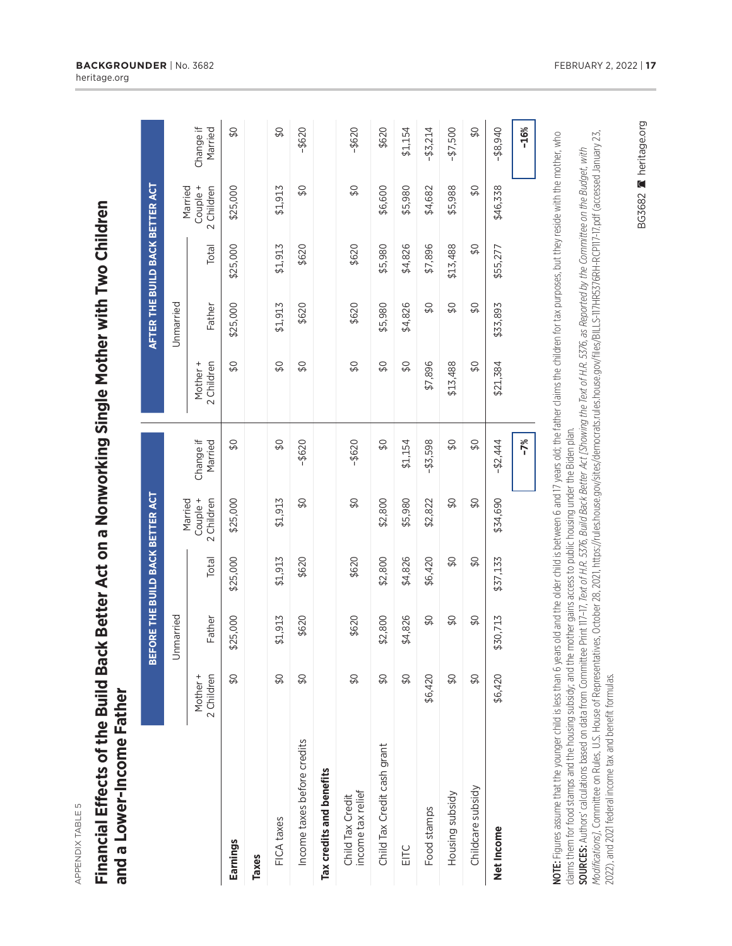APPENDIX TABLE 5 APPENDIX TABLE 5

# **Financial Effects of the Build Back Better Act on a Nonworking Single Mother with Two Children** Financial Effects of the Build Back Better Act on a Nonworking Single Mother with Two Children and a Lower-Income Father **and a Lower-Income Father**

|                                       |                        | BEFORE THE BUILD BACK BETTER ACT |          |                                   |                      |                            | AFTER THE BUILD BACK BETTER ACT |          |                                   |                      |
|---------------------------------------|------------------------|----------------------------------|----------|-----------------------------------|----------------------|----------------------------|---------------------------------|----------|-----------------------------------|----------------------|
|                                       |                        | Unmarried                        |          |                                   |                      |                            | Unmarried                       |          |                                   |                      |
|                                       | 2 Children<br>Mother + | Father                           | Total    | Couple +<br>2 Children<br>Married | Change if<br>Married | Mother +<br>2 Children     | Father                          | Total    | Couple +<br>2 Children<br>Married | Change if<br>Married |
| Earnings                              | $\frac{1}{2}$          | \$25,000                         | \$25,000 | \$25,000                          | \$0                  | $\overline{\mathcal{L}}$   | \$25,000                        | \$25,000 | \$25,000                          | \$0                  |
| Taxes                                 |                        |                                  |          |                                   |                      |                            |                                 |          |                                   |                      |
| FICA taxes                            | $\frac{1}{2}$          | \$1,913                          | \$1,913  | \$1,913                           | $\frac{1}{2}$        | \$0                        | \$1,913                         | \$1,913  | \$1,913                           | $\frac{1}{2}$        |
| Income taxes before credits           | $\frac{1}{2}$          | \$620                            | \$620    | $\overline{\mathcal{L}}$          | $-$ \$620            | \$0                        | \$620                           | \$620    | $\frac{1}{2}$                     | $-$ \$620            |
| Tax credits and benefits              |                        |                                  |          |                                   |                      |                            |                                 |          |                                   |                      |
| income tax relief<br>Child Tax Credit | \$0                    | \$620                            | \$620    | \$0                               | $-$ \$620            | \$Q                        | \$620                           | \$620    | \$0                               | $-$ \$620            |
| Child Tax Credit cash grant           | $\Im$                  | \$2,800                          | \$2,800  | \$2,800                           | $\frac{8}{3}$        | \$0                        | \$5,980                         | \$5,980  | \$6,600                           | \$620                |
| EITC                                  | \$0                    | \$4,826                          | \$4,826  | \$5,980                           | \$1,154              | $\boldsymbol{\mathcal{L}}$ | \$4,826                         | \$4,826  | \$5,980                           | \$1,154              |
| Food stamps                           | \$6,420                | $\frac{1}{2}$                    | \$6,420  | \$2,822                           | $-43,598$            | \$7,896                    | \$Q                             | \$7,896  | \$4,682                           | $-$ \$3,214          |
| Housing subsidy                       | $\frac{1}{2}$          | $\frac{1}{2}$                    | \$0      | \$0                               | \$0                  | \$13,488                   | \$0                             | \$13,488 | \$5,988                           | $-47,500$            |
| Childcare subsidy                     | <b>Q\$</b>             | \$0                              | \$0      | \$0                               | $\frac{1}{2}$        | \$0                        | \$0                             | \$0      | \$0                               | \$0                  |
| Net Income                            | \$6,420                | \$30,713                         | \$37,133 | \$34,690                          | $-52,444$            | \$21,384                   | \$33,893                        | \$55,277 | \$46,338                          | $-48,940$            |
|                                       |                        |                                  |          |                                   | $-7%$                |                            |                                 |          |                                   | $-16%$               |

NOTE: Figures assume that the younger child is less than 6 years old and the older child is between 6 and 17 years old; the father claims the children for tax purposes, but they reside with the mother, who NOTE: Figures assume that the younger child is less than 6 years old and the older child is between 6 and 17 years old; the father claims the children for tax purposes, but they reside with the mother, who claims them for food stamps and the housing subsidy; and the mother gains access to public housing under the Biden plan. claims them for food stamps and the housing subsidy; and the mother gains access to public housing under the Biden plan.

*Modifi cations]*, Committee on Rules, U.S. House of Representatives, October 28, 2021, https://rules.house.gov/sites/democrats.rules.house.gov/fi les/BILLS-117HR5376RH-RCP117-17.pdf (accessed January 23, Modifications], Committee on Rules, U.S. House of Representatives, October 28, 2021, https://rules.house.gov/sites/democrats.rules.house.gov/files/BILLS-117HR5376RH-RCP117-17.pdf (accessed January 23, SOURCES: Authors' calculations based on data from Committee Print 117-17, Text of H.R. 5376, Build Back Better Act [Showing the Text of H.R. 5376, as Reported by the Committee on the Budget, with SOURCES: Authors' calculations based on data from Committee Print 117–17, *Text of H.R. 5376, Build Back Better Act [Showing the Text of H.R. 5376, as Reported by the Committee on the Budget, with*  2022), and 2021 federal income tax and benefit formulas. 2022), and 2021 federal income tax and benefit formulas. BG3682 A heritage.org

BG3682 Meritage.org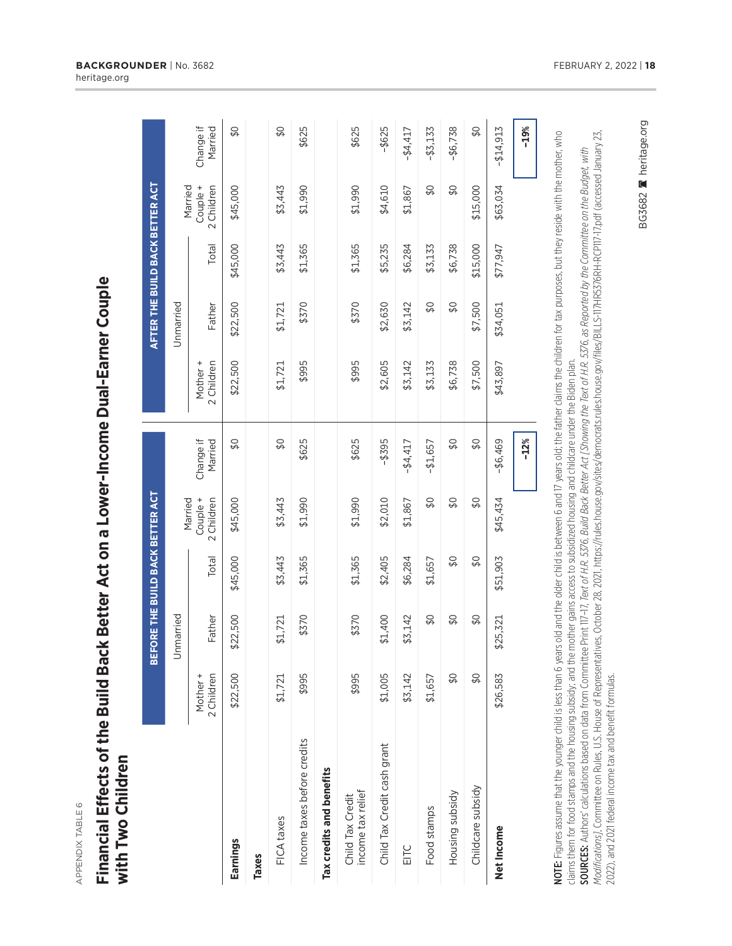APPENDIX TABLE 6 APPENDIX TABLE 6

## **Financial Effects of the Build Back Better Act on a Lower-Income Dual-Earner Couple** Financial Effects of the Build Back Better Act on a Lower-Income Dual-Earner Couple with Two Children **with Two Children**

|                                       |                        | BEFORE THE BUILD BACK BETTER ACT |               |                                   |                          |                        | AFTER THE BUILD BACK BETTER ACT |          |                        |                          |
|---------------------------------------|------------------------|----------------------------------|---------------|-----------------------------------|--------------------------|------------------------|---------------------------------|----------|------------------------|--------------------------|
|                                       |                        | Unmarried                        |               |                                   |                          |                        | Unmarried                       |          | Married                |                          |
|                                       | 2 Children<br>Mother + | Father                           | Total         | Married<br>Couple +<br>2 Children | Change if<br>Married     | 2 Children<br>Mother + | Father                          | Total    | Couple +<br>2 Children | Change if<br>Married     |
| Earnings                              | \$22,500               | \$22,500                         | \$45,000      | \$45,000                          | \$0                      | \$22,500               | \$22,500                        | \$45,000 | \$45,000               | $\overline{\mathcal{L}}$ |
| Taxes                                 |                        |                                  |               |                                   |                          |                        |                                 |          |                        |                          |
| FICA taxes                            | \$1,721                | \$1,721                          | \$3,443       | \$3,443                           | $\Im$                    | \$1,721                | \$1,721                         | \$3,443  | \$3,443                | \$0                      |
| Income taxes before credits           | \$995                  | \$370                            | \$1,365       | \$1,990                           | \$625                    | \$995                  | \$370                           | \$1,365  | \$1,990                | \$625                    |
| Tax credits and benefits              |                        |                                  |               |                                   |                          |                        |                                 |          |                        |                          |
| income tax relief<br>Child Tax Credit | \$995                  | \$370                            | \$1,365       | \$1,990                           | \$625                    | \$995                  | \$370                           | \$1,365  | \$1,990                | \$625                    |
| Child Tax Credit cash grant           | \$1,005                | \$1,400                          | \$2,405       | \$2,010                           | $-$ \$395                | \$2,605                | \$2,630                         | \$5,235  | \$4,610                | $-$ \$625                |
| EITC                                  | \$3,142                | \$3,142                          | \$6,284       | \$1,867                           | $-44,417$                | \$3,142                | \$3,142                         | \$6,284  | \$1,867                | $-44,417$                |
| Food stamps                           | \$1,657                | \$0                              | \$1,657       | $\overline{\mathcal{L}}$          | $-41,657$                | \$3,133                | SQ                              | \$3,133  | \$0                    | $-43,133$                |
| Housing subsidy                       | $\Im$                  | $\frac{1}{2}$                    | $\Im$         | $\overline{\mathcal{L}}$          | $\overline{\mathcal{L}}$ | \$6,738                | \$0                             | \$6,738  | \$0                    | $-46,738$                |
| Childcare subsidy                     | \$0                    | $\frac{1}{2}$                    | $\frac{1}{2}$ | \$0                               | \$0                      | \$7,500                | \$7,500                         | \$15,000 | \$15,000               | $\frac{1}{2}$            |
| Net Income                            | \$26,583               | \$25,321                         | \$51,903      | \$45,434                          | $- $6,469$               | \$43,897               | \$34,051                        | \$77,947 | \$63,034               | $-$14,913$               |
|                                       |                        |                                  |               |                                   | $-12%$                   |                        |                                 |          |                        | $-19%$                   |

NOTE: Figures assume that the younger child is less than 6 years old and the older child is between 6 and 17 years old; the father claims the children for tax purposes, but they reside with the mother, who NOTE: Figures assume that the younger child is less than 6 years old and the older child is between 6 and 17 years old; the father claims the children for tax purposes, but they reside with the mother, who claims them for food stamps and the housing subsidy; and the mother gains access to subsidized housing and childcare under the Biden plan. claims them for food stamps and the housing subsidy; and the mother gains access to subsidized housing and childcare under the Biden plan.

SOURCES: Authors' calculations based on data from Committee Print 117-17, *Text of H.R. 5376, Build Back Better Act [Showing the Text of H.R. 5376, as Reported by the Committee on the Budget, with<br><i>Modifications],* Committ *Modifi cations]*, Committee on Rules, U.S. House of Representatives, October 28, 2021, https://rules.house.gov/sites/democrats.rules.house.gov/fi les/BILLS-117HR5376RH-RCP117-17.pdf (accessed January 23, SOURCES: Authors' calculations based on data from Committee Print 117–17, *Text of H.R. 5376, Build Back Better Act [Showing the Text of H.R. 5376, as Reported by the Committee on the Budget, with*  2022), and 2021 federal income tax and benefit formulas. 2022), and 2021 federal income tax and benefi t formulas. BG3682 A heritage.org

BG3682 Reritage.org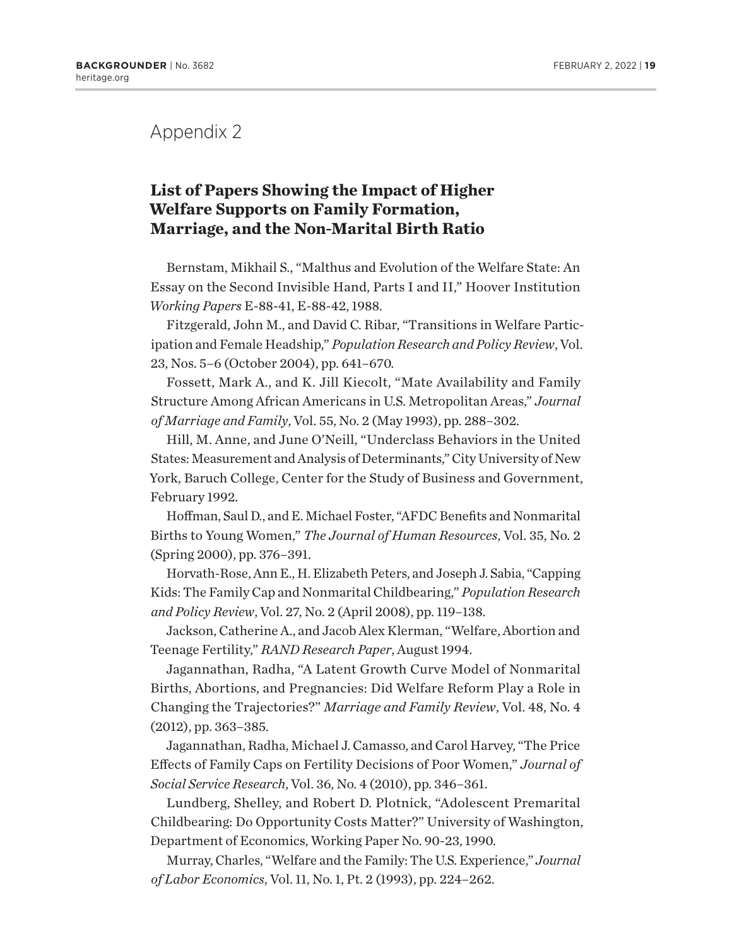### Appendix 2

### **List of Papers Showing the Impact of Higher Welfare Supports on Family Formation, Marriage, and the Non-Marital Birth Ratio**

Bernstam, Mikhail S., "Malthus and Evolution of the Welfare State: An Essay on the Second Invisible Hand, Parts I and II," Hoover Institution *Working Papers* E-88-41, E-88-42, 1988.

Fitzgerald, John M., and David C. Ribar, "Transitions in Welfare Participation and Female Headship," *Population Research and Policy Review*, Vol. 23, Nos. 5–6 (October 2004), pp. 641–670.

Fossett, Mark A., and K. Jill Kiecolt, "Mate Availability and Family Structure Among African Americans in U.S. Metropolitan Areas," *Journal of Marriage and Family*, Vol. 55, No. 2 (May 1993), pp. 288–302.

Hill, M. Anne, and June O'Neill, "Underclass Behaviors in the United States: Measurement and Analysis of Determinants," City University of New York, Baruch College, Center for the Study of Business and Government, February 1992.

Hoffman, Saul D., and E. Michael Foster, "AFDC Benefits and Nonmarital Births to Young Women," *The Journal of Human Resources*, Vol. 35, No. 2 (Spring 2000), pp. 376–391.

Horvath-Rose, Ann E., H. Elizabeth Peters, and Joseph J. Sabia, "Capping Kids: The Family Cap and Nonmarital Childbearing," *Population Research and Policy Review*, Vol. 27, No. 2 (April 2008), pp. 119–138.

Jackson, Catherine A., and Jacob Alex Klerman, "Welfare, Abortion and Teenage Fertility," *RAND Research Paper*, August 1994.

Jagannathan, Radha, "A Latent Growth Curve Model of Nonmarital Births, Abortions, and Pregnancies: Did Welfare Reform Play a Role in Changing the Trajectories?" *Marriage and Family Review*, Vol. 48, No. 4 (2012), pp. 363–385.

Jagannathan, Radha, Michael J. Camasso, and Carol Harvey, "The Price Effects of Family Caps on Fertility Decisions of Poor Women," *Journal of Social Service Research*, Vol. 36, No. 4 (2010), pp. 346–361.

Lundberg, Shelley, and Robert D. Plotnick, "Adolescent Premarital Childbearing: Do Opportunity Costs Matter?" University of Washington, Department of Economics, Working Paper No. 90-23, 1990.

Murray, Charles, "Welfare and the Family: The U.S. Experience," *Journal of Labor Economics*, Vol. 11, No. 1, Pt. 2 (1993), pp. 224–262.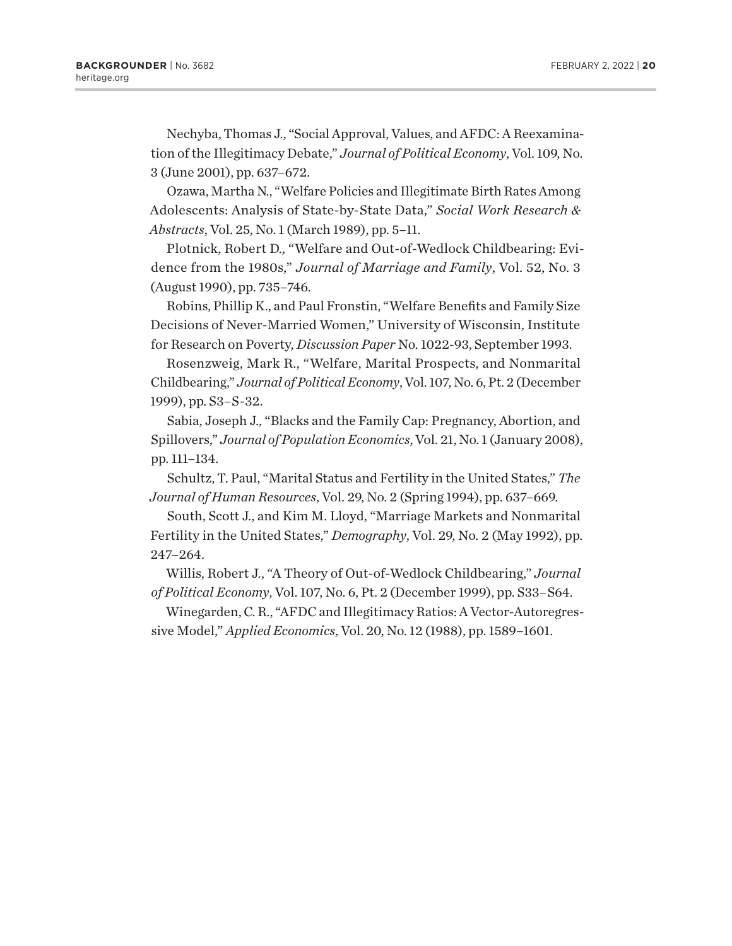Nechyba, Thomas J., "Social Approval, Values, and AFDC: A Reexamination of the Illegitimacy Debate," *Journal of Political Economy*, Vol. 109, No. 3 (June 2001), pp. 637–672.

Ozawa, Martha N., "Welfare Policies and Illegitimate Birth Rates Among Adolescents: Analysis of State-by-State Data," *Social Work Research & Abstracts*, Vol. 25, No. 1 (March 1989), pp. 5–11.

Plotnick, Robert D., "Welfare and Out-of-Wedlock Childbearing: Evidence from the 1980s," *Journal of Marriage and Family*, Vol. 52, No. 3 (August 1990), pp. 735–746.

Robins, Phillip K., and Paul Fronstin, "Welfare Benefits and Family Size Decisions of Never-Married Women," University of Wisconsin, Institute for Research on Poverty, *Discussion Paper* No. 1022-93, September 1993.

Rosenzweig, Mark R., "Welfare, Marital Prospects, and Nonmarital Childbearing," *Journal of Political Economy*, Vol. 107, No. 6, Pt. 2 (December 1999), pp. S3–S-32.

Sabia, Joseph J., "Blacks and the Family Cap: Pregnancy, Abortion, and Spillovers," *Journal of Population Economics*, Vol. 21, No. 1 (January 2008), pp. 111–134.

Schultz, T. Paul, "Marital Status and Fertility in the United States," *The Journal of Human Resources*, Vol. 29, No. 2 (Spring 1994), pp. 637–669.

South, Scott J., and Kim M. Lloyd, "Marriage Markets and Nonmarital Fertility in the United States," *Demography*, Vol. 29, No. 2 (May 1992), pp. 247–264.

Willis, Robert J., "A Theory of Out-of-Wedlock Childbearing," *Journal of Political Economy*, Vol. 107, No. 6, Pt. 2 (December 1999), pp. S33–S64.

Winegarden, C. R., "AFDC and Illegitimacy Ratios: A Vector-Autoregressive Model," *Applied Economics*, Vol. 20, No. 12 (1988), pp. 1589–1601.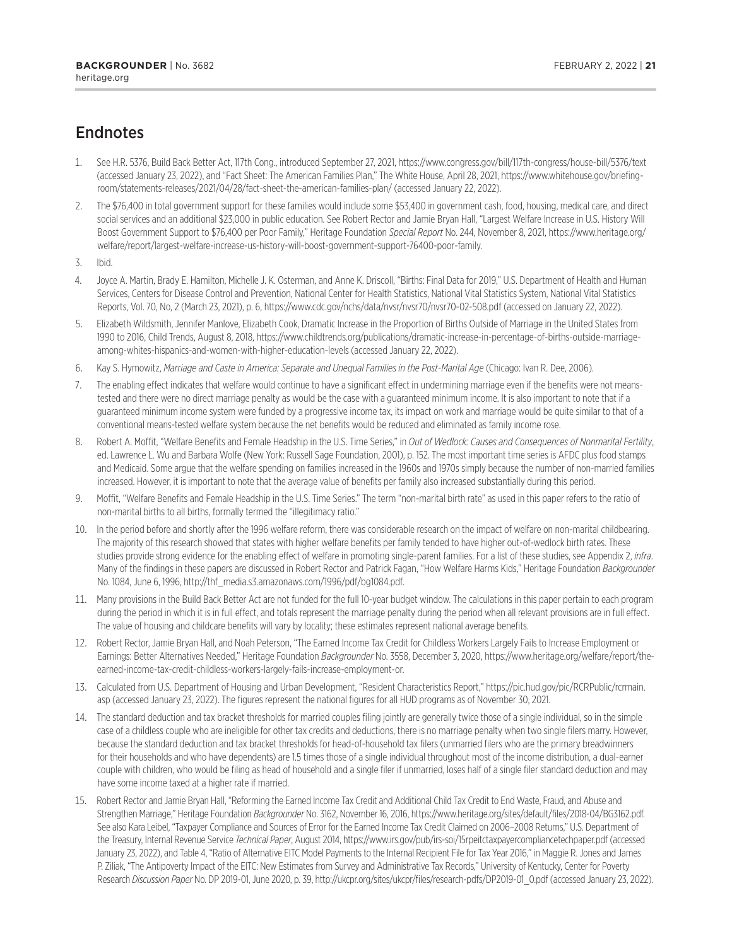### <span id="page-20-0"></span>Endnotes

- [1.](#page-0-0) See H.R. 5376, Build Back Better Act, 117th Cong., introduced September 27, 2021, https://www.congress.gov/bill/117th-congress/house-bill/5376/text (accessed January 23, 2022), and "Fact Sheet: The American Families Plan," The White House, April 28, 2021, https://www.whitehouse.gov/briefingroom/statements-releases/2021/04/28/fact-sheet-the-american-families-plan/ (accessed January 22, 2022).
- [2](#page-0-0). The \$76,400 in total government support for these families would include some \$53,400 in government cash, food, housing, medical care, and direct social services and an additional \$23,000 in public education. See Robert Rector and Jamie Bryan Hall, "Largest Welfare Increase in U.S. History Will Boost Government Support to \$76,400 per Poor Family," Heritage Foundation *Special Report* No. 244, November 8, 2021, https://www.heritage.org/ welfare/report/largest-welfare-increase-us-history-will-boost-government-support-76400-poor-family.
- [3.](#page-1-0) Ibid.
- [4.](#page-1-0) Joyce A. Martin, Brady E. Hamilton, Michelle J. K. Osterman, and Anne K. Driscoll, "Births: Final Data for 2019," U.S. Department of Health and Human Services, Centers for Disease Control and Prevention, National Center for Health Statistics, National Vital Statistics System, National Vital Statistics Reports, Vol. 70, No, 2 (March 23, 2021), p. 6, https://www.cdc.gov/nchs/data/nvsr/nvsr70/nvsr70-02-508.pdf (accessed on January 22, 2022).
- [5](#page-1-0). Elizabeth Wildsmith, Jennifer Manlove, Elizabeth Cook, Dramatic Increase in the Proportion of Births Outside of Marriage in the United States from 1990 to 2016, Child Trends, August 8, 2018, https://www.childtrends.org/publications/dramatic-increase-in-percentage-of-births-outside-marriageamong-whites-hispanics-and-women-with-higher-education-levels (accessed January 22, 2022).
- [6](#page-2-0). Kay S. Hymowitz, *Marriage and Caste in America: Separate and Unequal Families in the Post-Marital Age* (Chicago: Ivan R. Dee, 2006).
- [7.](#page-2-0) The enabling effect indicates that welfare would continue to have a significant effect in undermining marriage even if the benefits were not meanstested and there were no direct marriage penalty as would be the case with a guaranteed minimum income. It is also important to note that if a guaranteed minimum income system were funded by a progressive income tax, its impact on work and marriage would be quite similar to that of a conventional means-tested welfare system because the net benefits would be reduced and eliminated as family income rose.
- [8](#page-2-0). Robert A. Moffit, "Welfare Benefits and Female Headship in the U.S. Time Series," in *Out of Wedlock: Causes and Consequences of Nonmarital Fertility*, ed. Lawrence L. Wu and Barbara Wolfe (New York: Russell Sage Foundation, 2001), p. 152. The most important time series is AFDC plus food stamps and Medicaid. Some argue that the welfare spending on families increased in the 1960s and 1970s simply because the number of non-married families increased. However, it is important to note that the average value of benefits per family also increased substantially during this period.
- [9](#page-2-0). Moffit, "Welfare Benefits and Female Headship in the U.S. Time Series." The term "non-marital birth rate" as used in this paper refers to the ratio of non-marital births to all births, formally termed the "illegitimacy ratio."
- [10.](#page-2-0) In the period before and shortly after the 1996 welfare reform, there was considerable research on the impact of welfare on non-marital childbearing. The majority of this research showed that states with higher welfare benefits per family tended to have higher out-of-wedlock birth rates. These studies provide strong evidence for the enabling effect of welfare in promoting single-parent families. For a list of these studies, see Appendix 2, *infra*. Many of the findings in these papers are discussed in Robert Rector and Patrick Fagan, "How Welfare Harms Kids," Heritage Foundation *Backgrounder*  No. 1084, June 6, 1996, http://thf\_media.s3.amazonaws.com/1996/pdf/bg1084.pdf.
- [11.](#page-3-0) Many provisions in the Build Back Better Act are not funded for the full 10-year budget window. The calculations in this paper pertain to each program during the period in which it is in full effect, and totals represent the marriage penalty during the period when all relevant provisions are in full effect. The value of housing and childcare benefits will vary by locality; these estimates represent national average benefits.
- [12.](#page-3-0) Robert Rector, Jamie Bryan Hall, and Noah Peterson, "The Earned Income Tax Credit for Childless Workers Largely Fails to Increase Employment or Earnings: Better Alternatives Needed," Heritage Foundation *Backgrounder* No. 3558, December 3, 2020, https://www.heritage.org/welfare/report/theearned-income-tax-credit-childless-workers-largely-fails-increase-employment-or.
- [13.](#page-4-0) Calculated from U.S. Department of Housing and Urban Development, "Resident Characteristics Report," https://pic.hud.gov/pic/RCRPublic/rcrmain. asp (accessed January 23, 2022). The figures represent the national figures for all HUD programs as of November 30, 2021.
- [14.](#page-5-0) The standard deduction and tax bracket thresholds for married couples filing jointly are generally twice those of a single individual, so in the simple case of a childless couple who are ineligible for other tax credits and deductions, there is no marriage penalty when two single filers marry. However, because the standard deduction and tax bracket thresholds for head-of-household tax filers (unmarried filers who are the primary breadwinners for their households and who have dependents) are 1.5 times those of a single individual throughout most of the income distribution, a dual-earner couple with children, who would be filing as head of household and a single filer if unmarried, loses half of a single filer standard deduction and may have some income taxed at a higher rate if married.
- [15.](#page-6-0) Robert Rector and Jamie Bryan Hall, "Reforming the Earned Income Tax Credit and Additional Child Tax Credit to End Waste, Fraud, and Abuse and Strengthen Marriage," Heritage Foundation *Backgrounder* No. 3162, November 16, 2016, https://www.heritage.org/sites/default/files/2018-04/BG3162.pdf. See also Kara Leibel, "Taxpayer Compliance and Sources of Error for the Earned Income Tax Credit Claimed on 2006–2008 Returns," U.S. Department of the Treasury, Internal Revenue Service *Technical Paper*, August 2014, https://www.irs.gov/pub/irs-soi/15rpeitctaxpayercompliancetechpaper.pdf (accessed January 23, 2022), and Table 4, "Ratio of Alternative EITC Model Payments to the Internal Recipient File for Tax Year 2016," in Maggie R. Jones and James P. Ziliak, "The Antipoverty Impact of the EITC: New Estimates from Survey and Administrative Tax Records," University of Kentucky, Center for Poverty Research *Discussion Paper* No. DP 2019-01, June 2020, p. 39, http://ukcpr.org/sites/ukcpr/files/research-pdfs/DP2019-01\_0.pdf (accessed January 23, 2022).